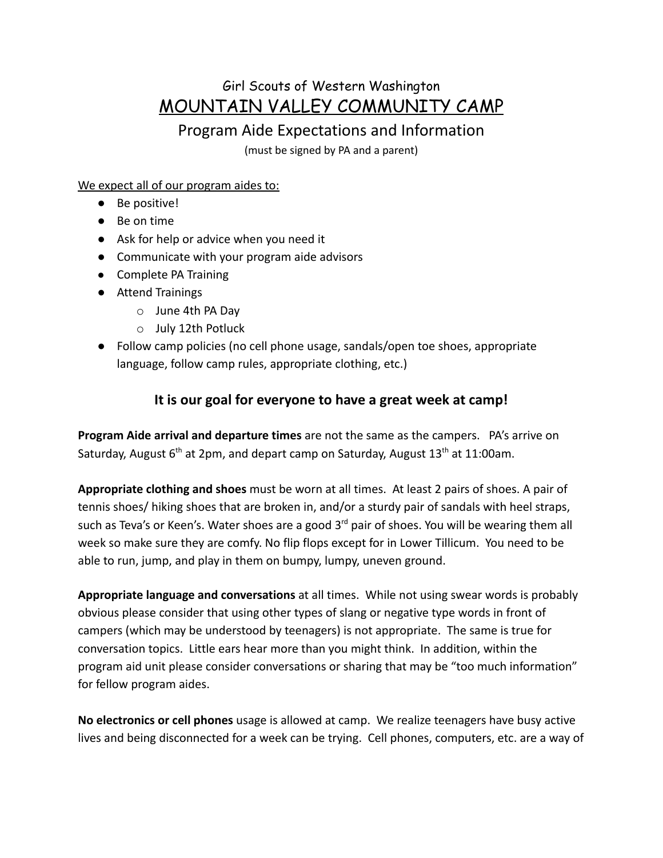# Girl Scouts of Western Washington MOUNTAIN VALLEY COMMUNITY CAMP

# Program Aide Expectations and Information

(must be signed by PA and a parent)

We expect all of our program aides to:

- Be positive!
- Be on time
- Ask for help or advice when you need it
- Communicate with your program aide advisors
- Complete PA Training
- Attend Trainings
	- o June 4th PA Day
	- o July 12th Potluck
- Follow camp policies (no cell phone usage, sandals/open toe shoes, appropriate language, follow camp rules, appropriate clothing, etc.)

### **It is our goal for everyone to have a great week at camp!**

**Program Aide arrival and departure times** are not the same as the campers. PA's arrive on Saturday, August  $6<sup>th</sup>$  at 2pm, and depart camp on Saturday, August  $13<sup>th</sup>$  at 11:00am.

**Appropriate clothing and shoes** must be worn at all times. At least 2 pairs of shoes. A pair of tennis shoes/ hiking shoes that are broken in, and/or a sturdy pair of sandals with heel straps, such as Teva's or Keen's. Water shoes are a good  $3<sup>rd</sup>$  pair of shoes. You will be wearing them all week so make sure they are comfy. No flip flops except for in Lower Tillicum. You need to be able to run, jump, and play in them on bumpy, lumpy, uneven ground.

**Appropriate language and conversations** at all times. While not using swear words is probably obvious please consider that using other types of slang or negative type words in front of campers (which may be understood by teenagers) is not appropriate. The same is true for conversation topics. Little ears hear more than you might think. In addition, within the program aid unit please consider conversations or sharing that may be "too much information" for fellow program aides.

**No electronics or cell phones** usage is allowed at camp. We realize teenagers have busy active lives and being disconnected for a week can be trying. Cell phones, computers, etc. are a way of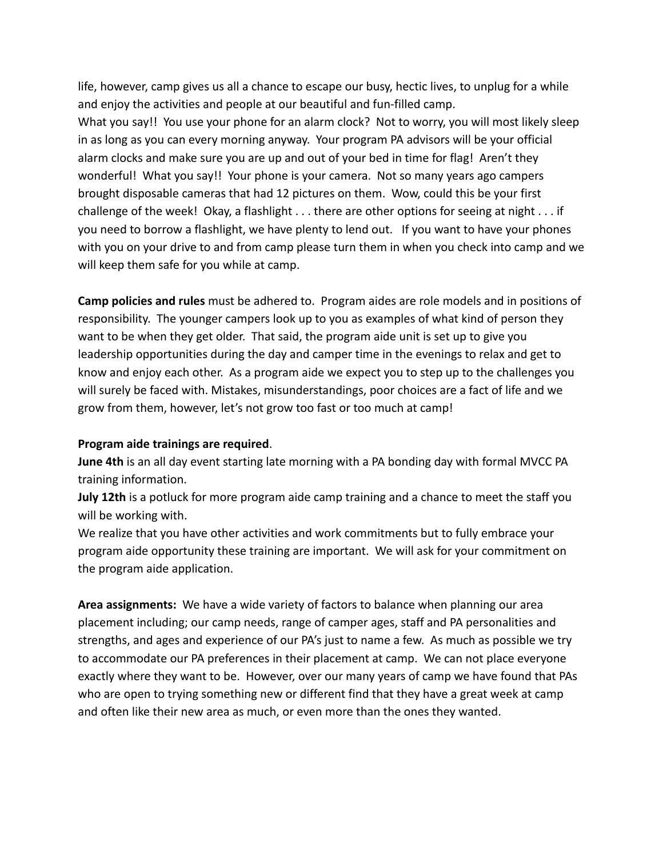life, however, camp gives us all a chance to escape our busy, hectic lives, to unplug for a while and enjoy the activities and people at our beautiful and fun-filled camp.

What you say!! You use your phone for an alarm clock? Not to worry, you will most likely sleep in as long as you can every morning anyway. Your program PA advisors will be your official alarm clocks and make sure you are up and out of your bed in time for flag! Aren't they wonderful! What you say!! Your phone is your camera. Not so many years ago campers brought disposable cameras that had 12 pictures on them. Wow, could this be your first challenge of the week! Okay, a flashlight . . . there are other options for seeing at night . . . if you need to borrow a flashlight, we have plenty to lend out. If you want to have your phones with you on your drive to and from camp please turn them in when you check into camp and we will keep them safe for you while at camp.

**Camp policies and rules** must be adhered to. Program aides are role models and in positions of responsibility. The younger campers look up to you as examples of what kind of person they want to be when they get older. That said, the program aide unit is set up to give you leadership opportunities during the day and camper time in the evenings to relax and get to know and enjoy each other. As a program aide we expect you to step up to the challenges you will surely be faced with. Mistakes, misunderstandings, poor choices are a fact of life and we grow from them, however, let's not grow too fast or too much at camp!

#### **Program aide trainings are required**.

**June 4th** is an all day event starting late morning with a PA bonding day with formal MVCC PA training information.

**July 12th** is a potluck for more program aide camp training and a chance to meet the staff you will be working with.

We realize that you have other activities and work commitments but to fully embrace your program aide opportunity these training are important. We will ask for your commitment on the program aide application.

**Area assignments:** We have a wide variety of factors to balance when planning our area placement including; our camp needs, range of camper ages, staff and PA personalities and strengths, and ages and experience of our PA's just to name a few. As much as possible we try to accommodate our PA preferences in their placement at camp. We can not place everyone exactly where they want to be. However, over our many years of camp we have found that PAs who are open to trying something new or different find that they have a great week at camp and often like their new area as much, or even more than the ones they wanted.